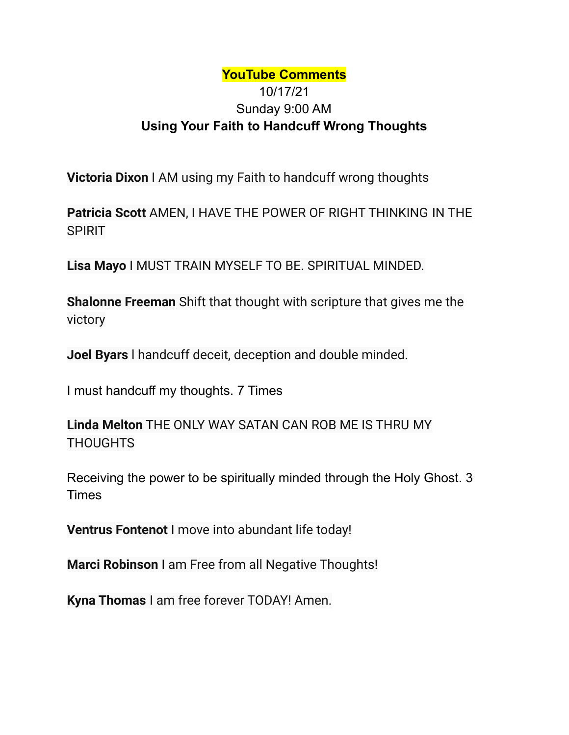## **YouTube Comments** 10/17/21 Sunday 9:00 AM **Using Your Faith to Handcuff Wrong Thoughts**

**Victoria Dixon** I AM using my Faith to handcuff wrong thoughts

**Patricia Scott** AMEN, I HAVE THE POWER OF RIGHT THINKING IN THE SPIRIT

**Lisa Mayo** I MUST TRAIN MYSELF TO BE. SPIRITUAL MINDED.

**Shalonne Freeman** Shift that thought with scripture that gives me the victory

**Joel Byars** l handcuff deceit, deception and double minded.

I must handcuff my thoughts. 7 Times

**Linda Melton** THE ONLY WAY SATAN CAN ROB ME IS THRU MY **THOUGHTS** 

Receiving the power to be spiritually minded through the Holy Ghost. 3 Times

**Ventrus Fontenot** I move into abundant life today!

**Marci Robinson** I am Free from all Negative Thoughts!

**Kyna Thomas** I am free forever TODAY! Amen.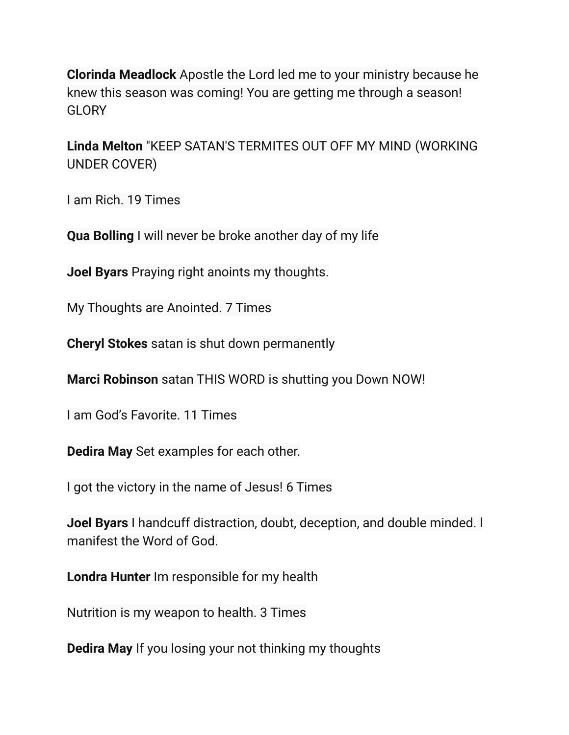**Clorinda Meadlock** Apostle the Lord led me to your ministry because he knew this season was coming! You are getting me through a season! **GLORY** 

**Linda Melton** "KEEP SATAN'S TERMITES OUT OFF MY MIND (WORKING UNDER COVER)

I am Rich. 19 Times

**Qua Bolling** I will never be broke another day of my life

**Joel Byars** Praying right anoints my thoughts.

My Thoughts are Anointed. 7 Times

**Cheryl Stokes** satan is shut down permanently

**Marci Robinson** satan THIS WORD is shutting you Down NOW!

I am God's Favorite. 11 Times

**Dedira May** Set examples for each other.

I got the victory in the name of Jesus! 6 Times

**Joel Byars** I handcuff distraction, doubt, deception, and double minded. l manifest the Word of God.

**Londra Hunter** Im responsible for my health

Nutrition is my weapon to health. 3 Times

**Dedira May** If you losing your not thinking my thoughts